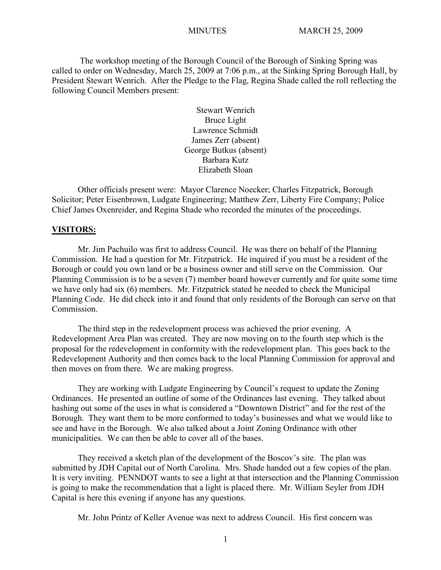The workshop meeting of the Borough Council of the Borough of Sinking Spring was called to order on Wednesday, March 25, 2009 at 7:06 p.m., at the Sinking Spring Borough Hall, by President Stewart Wenrich. After the Pledge to the Flag, Regina Shade called the roll reflecting the following Council Members present:

> Stewart Wenrich Bruce Light Lawrence Schmidt James Zerr (absent) George Butkus (absent) Barbara Kutz Elizabeth Sloan

Other officials present were: Mayor Clarence Noecker; Charles Fitzpatrick, Borough Solicitor; Peter Eisenbrown, Ludgate Engineering; Matthew Zerr, Liberty Fire Company; Police Chief James Oxenreider, and Regina Shade who recorded the minutes of the proceedings.

#### **VISITORS:**

Mr. Jim Pachuilo was first to address Council. He was there on behalf of the Planning Commission. He had a question for Mr. Fitzpatrick. He inquired if you must be a resident of the Borough or could you own land or be a business owner and still serve on the Commission. Our Planning Commission is to be a seven (7) member board however currently and for quite some time we have only had six (6) members. Mr. Fitzpatrick stated he needed to check the Municipal Planning Code. He did check into it and found that only residents of the Borough can serve on that Commission.

The third step in the redevelopment process was achieved the prior evening. A Redevelopment Area Plan was created. They are now moving on to the fourth step which is the proposal for the redevelopment in conformity with the redevelopment plan. This goes back to the Redevelopment Authority and then comes back to the local Planning Commission for approval and then moves on from there. We are making progress.

They are working with Ludgate Engineering by Council's request to update the Zoning Ordinances. He presented an outline of some of the Ordinances last evening. They talked about hashing out some of the uses in what is considered a "Downtown District" and for the rest of the Borough. They want them to be more conformed to today's businesses and what we would like to see and have in the Borough. We also talked about a Joint Zoning Ordinance with other municipalities. We can then be able to cover all of the bases.

They received a sketch plan of the development of the Boscov's site. The plan was submitted by JDH Capital out of North Carolina. Mrs. Shade handed out a few copies of the plan. It is very inviting. PENNDOT wants to see a light at that intersection and the Planning Commission is going to make the recommendation that a light is placed there. Mr. William Seyler from JDH Capital is here this evening if anyone has any questions.

Mr. John Printz of Keller Avenue was next to address Council. His first concern was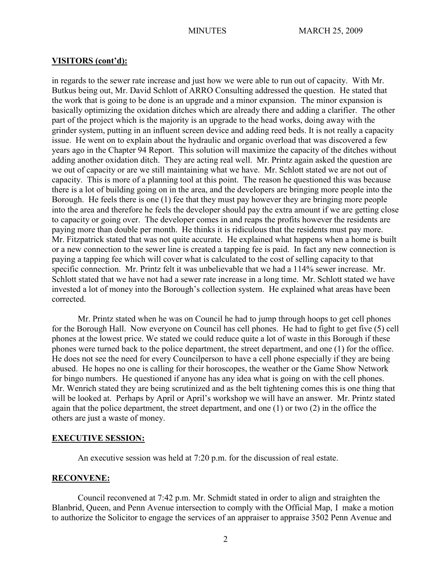#### **VISITORS (cont'd):**

in regards to the sewer rate increase and just how we were able to run out of capacity. With Mr. Butkus being out, Mr. David Schlott of ARRO Consulting addressed the question. He stated that the work that is going to be done is an upgrade and a minor expansion. The minor expansion is basically optimizing the oxidation ditches which are already there and adding a clarifier. The other part of the project which is the majority is an upgrade to the head works, doing away with the grinder system, putting in an influent screen device and adding reed beds. It is not really a capacity issue. He went on to explain about the hydraulic and organic overload that was discovered a few years ago in the Chapter 94 Report. This solution will maximize the capacity of the ditches without adding another oxidation ditch. They are acting real well. Mr. Printz again asked the question are we out of capacity or are we still maintaining what we have. Mr. Schlott stated we are not out of capacity. This is more of a planning tool at this point. The reason he questioned this was because there is a lot of building going on in the area, and the developers are bringing more people into the Borough. He feels there is one (1) fee that they must pay however they are bringing more people into the area and therefore he feels the developer should pay the extra amount if we are getting close to capacity or going over. The developer comes in and reaps the profits however the residents are paying more than double per month. He thinks it is ridiculous that the residents must pay more. Mr. Fitzpatrick stated that was not quite accurate. He explained what happens when a home is built or a new connection to the sewer line is created a tapping fee is paid. In fact any new connection is paying a tapping fee which will cover what is calculated to the cost of selling capacity to that specific connection. Mr. Printz felt it was unbelievable that we had a 114% sewer increase. Mr. Schlott stated that we have not had a sewer rate increase in a long time. Mr. Schlott stated we have invested a lot of money into the Borough's collection system. He explained what areas have been corrected.

Mr. Printz stated when he was on Council he had to jump through hoops to get cell phones for the Borough Hall. Now everyone on Council has cell phones. He had to fight to get five (5) cell phones at the lowest price. We stated we could reduce quite a lot of waste in this Borough if these phones were turned back to the police department, the street department, and one (1) for the office. He does not see the need for every Councilperson to have a cell phone especially if they are being abused. He hopes no one is calling for their horoscopes, the weather or the Game Show Network for bingo numbers. He questioned if anyone has any idea what is going on with the cell phones. Mr. Wenrich stated they are being scrutinized and as the belt tightening comes this is one thing that will be looked at. Perhaps by April or April's workshop we will have an answer. Mr. Printz stated again that the police department, the street department, and one (1) or two (2) in the office the others are just a waste of money.

### **EXECUTIVE SESSION:**

An executive session was held at 7:20 p.m. for the discussion of real estate.

### **RECONVENE:**

Council reconvened at 7:42 p.m. Mr. Schmidt stated in order to align and straighten the Blanbrid, Queen, and Penn Avenue intersection to comply with the Official Map, I make a motion to authorize the Solicitor to engage the services of an appraiser to appraise 3502 Penn Avenue and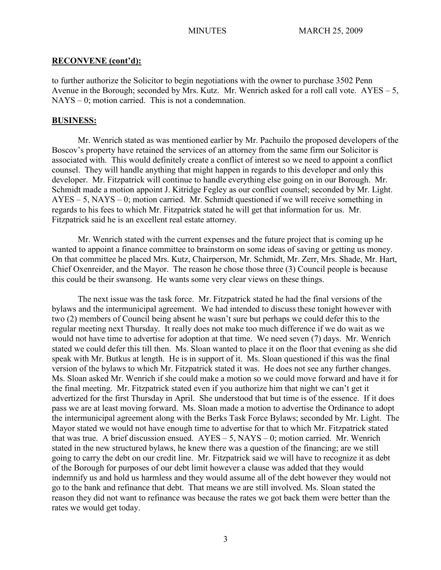#### **RECONVENE (cont'd):**

to further authorize the Solicitor to begin negotiations with the owner to purchase 3502 Penn Avenue in the Borough; seconded by Mrs. Kutz. Mr. Wenrich asked for a roll call vote.  $AYES - 5$ ,  $NAYS - 0$ ; motion carried. This is not a condemnation.

#### **BUSINESS:**

Mr. Wenrich stated as was mentioned earlier by Mr. Pachuilo the proposed developers of the Boscov's property have retained the services of an attorney from the same firm our Solicitor is associated with. This would definitely create a conflict of interest so we need to appoint a conflict counsel. They will handle anything that might happen in regards to this developer and only this developer. Mr. Fitzpatrick will continue to handle everything else going on in our Borough. Mr. Schmidt made a motion appoint J. Kitridge Fegley as our conflict counsel; seconded by Mr. Light. AYES – 5, NAYS – 0; motion carried. Mr. Schmidt questioned if we will receive something in regards to his fees to which Mr. Fitzpatrick stated he will get that information for us. Mr. Fitzpatrick said he is an excellent real estate attorney.

Mr. Wenrich stated with the current expenses and the future project that is coming up he wanted to appoint a finance committee to brainstorm on some ideas of saving or getting us money. On that committee he placed Mrs. Kutz, Chairperson, Mr. Schmidt, Mr. Zerr, Mrs. Shade, Mr. Hart, Chief Oxenreider, and the Mayor. The reason he chose those three (3) Council people is because this could be their swansong. He wants some very clear views on these things.

The next issue was the task force. Mr. Fitzpatrick stated he had the final versions of the bylaws and the intermunicipal agreement. We had intended to discuss these tonight however with two (2) members of Council being absent he wasn't sure but perhaps we could defer this to the regular meeting next Thursday. It really does not make too much difference if we do wait as we would not have time to advertise for adoption at that time. We need seven (7) days. Mr. Wenrich stated we could defer this till then. Ms. Sloan wanted to place it on the floor that evening as she did speak with Mr. Butkus at length. He is in support of it. Ms. Sloan questioned if this was the final version of the bylaws to which Mr. Fitzpatrick stated it was. He does not see any further changes. Ms. Sloan asked Mr. Wenrich if she could make a motion so we could move forward and have it for the final meeting. Mr. Fitzpatrick stated even if you authorize him that night we can't get it advertized for the first Thursday in April. She understood that but time is of the essence. If it does pass we are at least moving forward. Ms. Sloan made a motion to advertise the Ordinance to adopt the intermunicipal agreement along with the Berks Task Force Bylaws; seconded by Mr. Light. The Mayor stated we would not have enough time to advertise for that to which Mr. Fitzpatrick stated that was true. A brief discussion ensued. AYES – 5, NAYS – 0; motion carried. Mr. Wenrich stated in the new structured bylaws, he knew there was a question of the financing; are we still going to carry the debt on our credit line. Mr. Fitzpatrick said we will have to recognize it as debt of the Borough for purposes of our debt limit however a clause was added that they would indemnify us and hold us harmless and they would assume all of the debt however they would not go to the bank and refinance that debt. That means we are still involved. Ms. Sloan stated the reason they did not want to refinance was because the rates we got back them were better than the rates we would get today.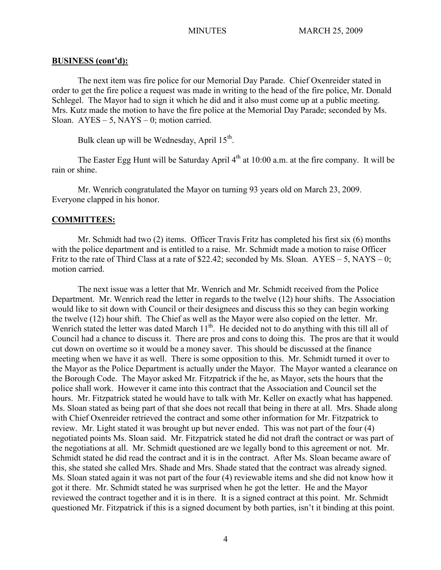#### **BUSINESS (cont'd):**

The next item was fire police for our Memorial Day Parade. Chief Oxenreider stated in order to get the fire police a request was made in writing to the head of the fire police, Mr. Donald Schlegel. The Mayor had to sign it which he did and it also must come up at a public meeting. Mrs. Kutz made the motion to have the fire police at the Memorial Day Parade; seconded by Ms. Sloan.  $AYES - 5$ ,  $NAYS - 0$ ; motion carried.

Bulk clean up will be Wednesday, April  $15^{th}$ .

The Easter Egg Hunt will be Saturday April 4<sup>th</sup> at 10:00 a.m. at the fire company. It will be rain or shine.

Mr. Wenrich congratulated the Mayor on turning 93 years old on March 23, 2009. Everyone clapped in his honor.

#### **COMMITTEES:**

Mr. Schmidt had two (2) items. Officer Travis Fritz has completed his first six (6) months with the police department and is entitled to a raise. Mr. Schmidt made a motion to raise Officer Fritz to the rate of Third Class at a rate of \$22.42; seconded by Ms. Sloan.  $AYES - 5$ , NAYS – 0; motion carried.

The next issue was a letter that Mr. Wenrich and Mr. Schmidt received from the Police Department. Mr. Wenrich read the letter in regards to the twelve (12) hour shifts. The Association would like to sit down with Council or their designees and discuss this so they can begin working the twelve (12) hour shift. The Chief as well as the Mayor were also copied on the letter. Mr. Wenrich stated the letter was dated March 11<sup>th</sup>. He decided not to do anything with this till all of Council had a chance to discuss it. There are pros and cons to doing this. The pros are that it would cut down on overtime so it would be a money saver. This should be discussed at the finance meeting when we have it as well. There is some opposition to this. Mr. Schmidt turned it over to the Mayor as the Police Department is actually under the Mayor. The Mayor wanted a clearance on the Borough Code. The Mayor asked Mr. Fitzpatrick if the he, as Mayor, sets the hours that the police shall work. However it came into this contract that the Association and Council set the hours. Mr. Fitzpatrick stated he would have to talk with Mr. Keller on exactly what has happened. Ms. Sloan stated as being part of that she does not recall that being in there at all. Mrs. Shade along with Chief Oxenreider retrieved the contract and some other information for Mr. Fitzpatrick to review. Mr. Light stated it was brought up but never ended. This was not part of the four (4) negotiated points Ms. Sloan said. Mr. Fitzpatrick stated he did not draft the contract or was part of the negotiations at all. Mr. Schmidt questioned are we legally bond to this agreement or not. Mr. Schmidt stated he did read the contract and it is in the contract. After Ms. Sloan became aware of this, she stated she called Mrs. Shade and Mrs. Shade stated that the contract was already signed. Ms. Sloan stated again it was not part of the four (4) reviewable items and she did not know how it got it there. Mr. Schmidt stated he was surprised when he got the letter. He and the Mayor reviewed the contract together and it is in there. It is a signed contract at this point. Mr. Schmidt questioned Mr. Fitzpatrick if this is a signed document by both parties, isn't it binding at this point.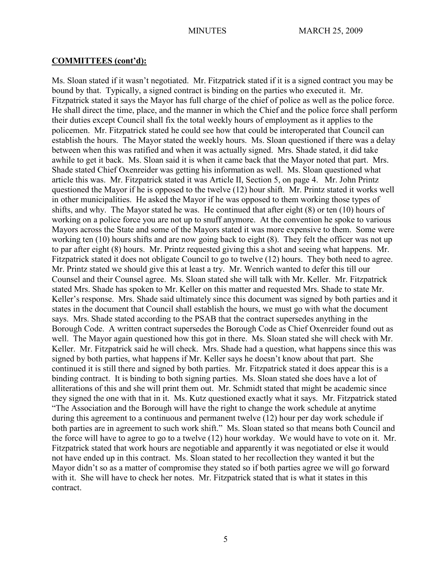#### **COMMITTEES (cont'd):**

Ms. Sloan stated if it wasn't negotiated. Mr. Fitzpatrick stated if it is a signed contract you may be bound by that. Typically, a signed contract is binding on the parties who executed it. Mr. Fitzpatrick stated it says the Mayor has full charge of the chief of police as well as the police force. He shall direct the time, place, and the manner in which the Chief and the police force shall perform their duties except Council shall fix the total weekly hours of employment as it applies to the policemen. Mr. Fitzpatrick stated he could see how that could be interoperated that Council can establish the hours. The Mayor stated the weekly hours. Ms. Sloan questioned if there was a delay between when this was ratified and when it was actually signed. Mrs. Shade stated, it did take awhile to get it back. Ms. Sloan said it is when it came back that the Mayor noted that part. Mrs. Shade stated Chief Oxenreider was getting his information as well. Ms. Sloan questioned what article this was. Mr. Fitzpatrick stated it was Article II, Section 5, on page 4. Mr. John Printz questioned the Mayor if he is opposed to the twelve (12) hour shift. Mr. Printz stated it works well in other municipalities. He asked the Mayor if he was opposed to them working those types of shifts, and why. The Mayor stated he was. He continued that after eight (8) or ten (10) hours of working on a police force you are not up to snuff anymore. At the convention he spoke to various Mayors across the State and some of the Mayors stated it was more expensive to them. Some were working ten (10) hours shifts and are now going back to eight (8). They felt the officer was not up to par after eight (8) hours. Mr. Printz requested giving this a shot and seeing what happens. Mr. Fitzpatrick stated it does not obligate Council to go to twelve (12) hours. They both need to agree. Mr. Printz stated we should give this at least a try. Mr. Wenrich wanted to defer this till our Counsel and their Counsel agree. Ms. Sloan stated she will talk with Mr. Keller. Mr. Fitzpatrick stated Mrs. Shade has spoken to Mr. Keller on this matter and requested Mrs. Shade to state Mr. Keller's response. Mrs. Shade said ultimately since this document was signed by both parties and it states in the document that Council shall establish the hours, we must go with what the document says. Mrs. Shade stated according to the PSAB that the contract supersedes anything in the Borough Code. A written contract supersedes the Borough Code as Chief Oxenreider found out as well. The Mayor again questioned how this got in there. Ms. Sloan stated she will check with Mr. Keller. Mr. Fitzpatrick said he will check. Mrs. Shade had a question, what happens since this was signed by both parties, what happens if Mr. Keller says he doesn't know about that part. She continued it is still there and signed by both parties. Mr. Fitzpatrick stated it does appear this is a binding contract. It is binding to both signing parties. Ms. Sloan stated she does have a lot of alliterations of this and she will print them out. Mr. Schmidt stated that might be academic since they signed the one with that in it. Ms. Kutz questioned exactly what it says. Mr. Fitzpatrick stated "The Association and the Borough will have the right to change the work schedule at anytime during this agreement to a continuous and permanent twelve (12) hour per day work schedule if both parties are in agreement to such work shift." Ms. Sloan stated so that means both Council and the force will have to agree to go to a twelve (12) hour workday. We would have to vote on it. Mr. Fitzpatrick stated that work hours are negotiable and apparently it was negotiated or else it would not have ended up in this contract. Ms. Sloan stated to her recollection they wanted it but the Mayor didn't so as a matter of compromise they stated so if both parties agree we will go forward with it. She will have to check her notes. Mr. Fitzpatrick stated that is what it states in this contract.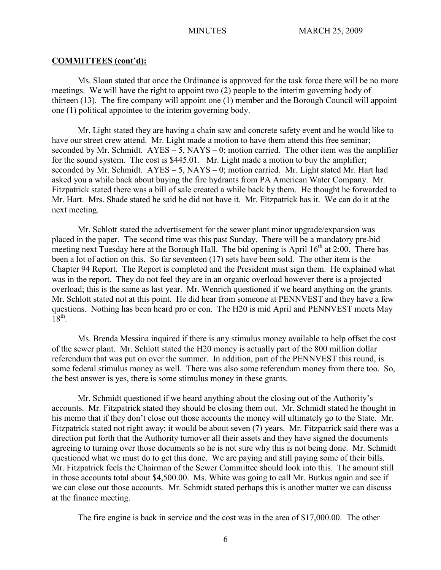#### **COMMITTEES (cont'd):**

Ms. Sloan stated that once the Ordinance is approved for the task force there will be no more meetings. We will have the right to appoint two (2) people to the interim governing body of thirteen (13). The fire company will appoint one (1) member and the Borough Council will appoint one (1) political appointee to the interim governing body.

Mr. Light stated they are having a chain saw and concrete safety event and he would like to have our street crew attend. Mr. Light made a motion to have them attend this free seminar; seconded by Mr. Schmidt.  $AYES - 5$ ,  $NAYS - 0$ ; motion carried. The other item was the amplifier for the sound system. The cost is \$445.01. Mr. Light made a motion to buy the amplifier; seconded by Mr. Schmidt. AYES – 5, NAYS – 0; motion carried. Mr. Light stated Mr. Hart had asked you a while back about buying the fire hydrants from PA American Water Company. Mr. Fitzpatrick stated there was a bill of sale created a while back by them. He thought he forwarded to Mr. Hart. Mrs. Shade stated he said he did not have it. Mr. Fitzpatrick has it. We can do it at the next meeting.

Mr. Schlott stated the advertisement for the sewer plant minor upgrade/expansion was placed in the paper. The second time was this past Sunday. There will be a mandatory pre-bid meeting next Tuesday here at the Borough Hall. The bid opening is April  $16<sup>th</sup>$  at 2:00. There has been a lot of action on this. So far seventeen (17) sets have been sold. The other item is the Chapter 94 Report. The Report is completed and the President must sign them. He explained what was in the report. They do not feel they are in an organic overload however there is a projected overload; this is the same as last year. Mr. Wenrich questioned if we heard anything on the grants. Mr. Schlott stated not at this point. He did hear from someone at PENNVEST and they have a few questions. Nothing has been heard pro or con. The H20 is mid April and PENNVEST meets May  $18^{th}$ .

Ms. Brenda Messina inquired if there is any stimulus money available to help offset the cost of the sewer plant. Mr. Schlott stated the H20 money is actually part of the 800 million dollar referendum that was put on over the summer. In addition, part of the PENNVEST this round, is some federal stimulus money as well. There was also some referendum money from there too. So, the best answer is yes, there is some stimulus money in these grants.

Mr. Schmidt questioned if we heard anything about the closing out of the Authority's accounts. Mr. Fitzpatrick stated they should be closing them out. Mr. Schmidt stated he thought in his memo that if they don't close out those accounts the money will ultimately go to the State. Mr. Fitzpatrick stated not right away; it would be about seven (7) years. Mr. Fitzpatrick said there was a direction put forth that the Authority turnover all their assets and they have signed the documents agreeing to turning over those documents so he is not sure why this is not being done. Mr. Schmidt questioned what we must do to get this done. We are paying and still paying some of their bills. Mr. Fitzpatrick feels the Chairman of the Sewer Committee should look into this. The amount still in those accounts total about \$4,500.00. Ms. White was going to call Mr. Butkus again and see if we can close out those accounts. Mr. Schmidt stated perhaps this is another matter we can discuss at the finance meeting.

The fire engine is back in service and the cost was in the area of \$17,000.00. The other